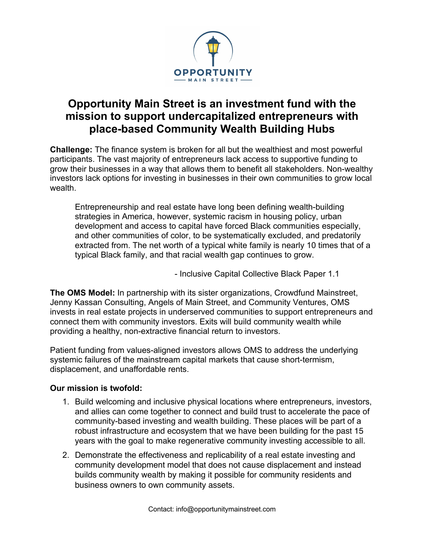

## **Opportunity Main Street is an investment fund with the mission to support undercapitalized entrepreneurs with place-based Community Wealth Building Hubs**

**Challenge:** The finance system is broken for all but the wealthiest and most powerful participants. The vast majority of entrepreneurs lack access to supportive funding to grow their businesses in a way that allows them to benefit all stakeholders. Non-wealthy investors lack options for investing in businesses in their own communities to grow local wealth.

Entrepreneurship and real estate have long been defining wealth-building strategies in America, however, systemic racism in housing policy, urban development and access to capital have forced Black communities especially, and other communities of color, to be systematically excluded, and predatorily extracted from. The net worth of a typical white family is nearly 10 times that of a typical Black family, and that racial wealth gap continues to grow.

- Inclusive Capital Collective Black Paper 1.1

**The OMS Model:** In partnership with its sister organizations, Crowdfund Mainstreet, Jenny Kassan Consulting, Angels of Main Street, and Community Ventures, OMS invests in real estate projects in underserved communities to support entrepreneurs and connect them with community investors. Exits will build community wealth while providing a healthy, non-extractive financial return to investors.

Patient funding from values-aligned investors allows OMS to address the underlying systemic failures of the mainstream capital markets that cause short-termism, displacement, and unaffordable rents.

## **Our mission is twofold:**

- 1. Build welcoming and inclusive physical locations where entrepreneurs, investors, and allies can come together to connect and build trust to accelerate the pace of community-based investing and wealth building. These places will be part of a robust infrastructure and ecosystem that we have been building for the past 15 years with the goal to make regenerative community investing accessible to all.
- 2. Demonstrate the effectiveness and replicability of a real estate investing and community development model that does not cause displacement and instead builds community wealth by making it possible for community residents and business owners to own community assets.